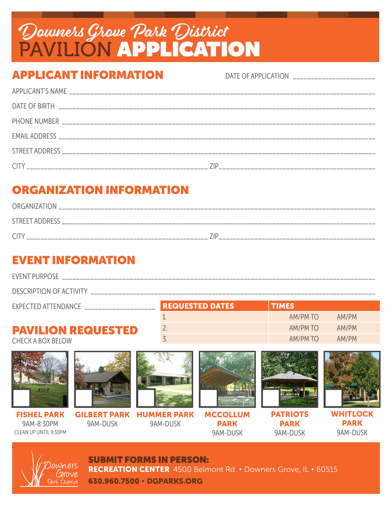## Downers Grove Park District PAVILION APPLICATION

### APPLICANT INFORMATION

DATE OF APPLICATION

## ORGANIZATION INFORMATION

| <b>ORGANIZATION</b> |  |
|---------------------|--|
| STREET ADDRESS      |  |
| ∼                   |  |

### EVENT INFORMATION

EVENT PURPOSE \_\_\_\_\_\_\_\_\_\_\_\_\_\_\_\_\_\_\_\_\_\_\_\_\_\_\_\_\_\_\_\_\_\_\_\_\_\_\_\_\_\_\_\_\_\_\_\_\_\_\_\_\_\_\_\_\_\_\_\_\_\_\_\_\_\_\_\_\_\_\_\_\_\_\_\_\_\_\_\_\_\_\_\_\_\_\_\_

DESCRIPTION OF ACTIVITY \_\_\_\_\_\_\_\_\_\_

| EXPECTED ATTENDANCE       | <b>REQUESTED DATES</b> | <b>TIMES</b>      |  |
|---------------------------|------------------------|-------------------|--|
|                           |                        | AM/PM<br>AM/PM TO |  |
| <b>PAVILION REQUESTED</b> |                        | AM/PM<br>AM/PM TO |  |
| CHECK A BOX BELOW         |                        | AM/PM TO<br>AM/PM |  |



. owners

SUBMIT FORMS IN PERSON: RECREATION CENTER 4500 Belmont Rd. • Downers Grove, IL • 60515 630.960.7500 • DGPARKS.ORG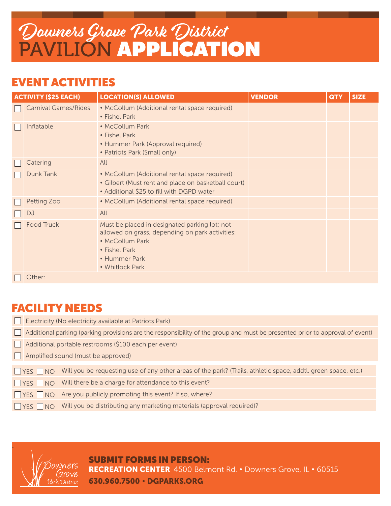## Downers Grove Park District PAVILION APPLICATION

#### EVENT ACTIVITIES

| <b>ACTIVITY (\$25 EACH)</b> |                             | <b>LOCATION(S) ALLOWED</b>                                                                                                                                               | <b>VENDOR</b> | <b>QTY</b> | <b>SIZE</b> |
|-----------------------------|-----------------------------|--------------------------------------------------------------------------------------------------------------------------------------------------------------------------|---------------|------------|-------------|
|                             | <b>Carnival Games/Rides</b> | • McCollum (Additional rental space required)<br>• Fishel Park                                                                                                           |               |            |             |
|                             | Inflatable                  | • McCollum Park<br>• Fishel Park<br>• Hummer Park (Approval required)<br>• Patriots Park (Small only)                                                                    |               |            |             |
|                             | Catering                    | All                                                                                                                                                                      |               |            |             |
|                             | Dunk Tank                   | • McCollum (Additional rental space required)<br>• Gilbert (Must rent and place on basketball court)<br>• Additional \$25 to fill with DGPD water                        |               |            |             |
|                             | Petting Zoo                 | • McCollum (Additional rental space required)                                                                                                                            |               |            |             |
|                             | DJ                          | All                                                                                                                                                                      |               |            |             |
|                             | <b>Food Truck</b>           | Must be placed in designated parking lot; not<br>allowed on grass; depending on park activities:<br>• McCollum Park<br>• Fishel Park<br>• Hummer Park<br>• Whitlock Park |               |            |             |
|                             | Other:                      |                                                                                                                                                                          |               |            |             |

#### FACILITY NEEDS

| Electricity (No electricity available at Patriots Park)                                                                      |                                                                                                               |  |  |  |
|------------------------------------------------------------------------------------------------------------------------------|---------------------------------------------------------------------------------------------------------------|--|--|--|
| Additional parking (parking provisions are the responsibility of the group and must be presented prior to approval of event) |                                                                                                               |  |  |  |
| Additional portable restrooms (\$100 each per event)                                                                         |                                                                                                               |  |  |  |
| Amplified sound (must be approved)                                                                                           |                                                                                                               |  |  |  |
|                                                                                                                              |                                                                                                               |  |  |  |
| $YES$ NO                                                                                                                     | Will you be requesting use of any other areas of the park? (Trails, athletic space, addtl. green space, etc.) |  |  |  |
| $YES$ NO                                                                                                                     | Will there be a charge for attendance to this event?                                                          |  |  |  |
| $\n  YES\n  NO\n$                                                                                                            | Are you publicly promoting this event? If so, where?                                                          |  |  |  |
| $NSES$ $NO$                                                                                                                  | Will you be distributing any marketing materials (approval required)?                                         |  |  |  |
|                                                                                                                              |                                                                                                               |  |  |  |



.

SUBMIT FORMS IN PERSON: RECREATION CENTER 4500 Belmont Rd. • Downers Grove, IL • 60515 630.960.7500 • DGPARKS.ORG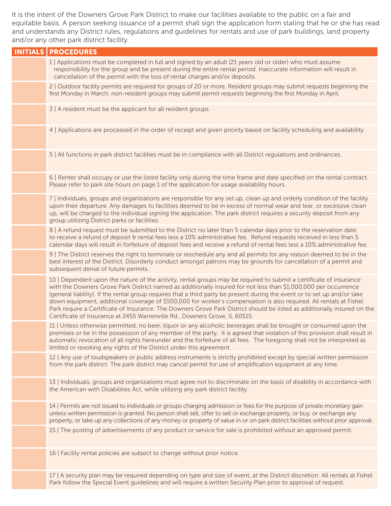It is the intent of the Downers Grove Park District to make our facilities available to the public on a fair and equitable basis. A person seeking issuance of a permit shall sign the application form stating that he or she has read and understands any District rules, regulations and guidelines for rentals and use of park buildings, land property and/or any other park district facility.

| <b>INITIALS   PROCEDURES</b>                                                                                                                                                                                                                                                                                                                                                                                                                                                                                                                                                                                                                                                                       |
|----------------------------------------------------------------------------------------------------------------------------------------------------------------------------------------------------------------------------------------------------------------------------------------------------------------------------------------------------------------------------------------------------------------------------------------------------------------------------------------------------------------------------------------------------------------------------------------------------------------------------------------------------------------------------------------------------|
| 1   Applications must be completed in full and signed by an adult (21 years old or older) who must assume<br>responsibility for the group and be present during the entire rental period. Inaccurate information will result in<br>cancellation of the permit with the loss of rental charges and/or deposits.                                                                                                                                                                                                                                                                                                                                                                                     |
| 2   Outdoor facility permits are required for groups of 20 or more. Resident groups may submit requests beginning the<br>first Monday in March; non-resident groups may submit permit requests beginning the first Monday in April.                                                                                                                                                                                                                                                                                                                                                                                                                                                                |
| 3   A resident must be the applicant for all resident groups.                                                                                                                                                                                                                                                                                                                                                                                                                                                                                                                                                                                                                                      |
| 4   Applications are processed in the order of receipt and given priority based on facility scheduling and availability.                                                                                                                                                                                                                                                                                                                                                                                                                                                                                                                                                                           |
| 5   All functions in park district facilities must be in compliance with all District regulations and ordinances.                                                                                                                                                                                                                                                                                                                                                                                                                                                                                                                                                                                  |
| 6   Renter shall occupy or use the listed facility only during the time frame and date specified on the rental contract.<br>Please refer to park site hours on page 1 of the application for usage availability hours.                                                                                                                                                                                                                                                                                                                                                                                                                                                                             |
| 7   Individuals, groups and organizations are responsible for any set up, clean up and orderly condition of the facility<br>upon their departure. Any damages to facilities deemed to be in excess of normal wear and tear, or excessive clean<br>up, will be charged to the individual signing the application. The park district requires a security deposit from any<br>group utilizing District parks or facilities.                                                                                                                                                                                                                                                                           |
| 8   A refund request must be submitted to the District no later than 5 calendar days prior to the reservation date<br>to receive a refund of deposit & rental fees less a 10% administrative fee. Refund requests received in less than 5<br>calendar days will result in forfeiture of deposit fees and receive a refund of rental fees less a 10% administrative fee.                                                                                                                                                                                                                                                                                                                            |
| 9   The District reserves the right to terminate or reschedule any and all permits for any reason deemed to be in the<br>best interest of the District. Disorderly conduct amongst patrons may be grounds for cancellation of a permit and<br>subsequent denial of future permits.                                                                                                                                                                                                                                                                                                                                                                                                                 |
| 10   Dependent upon the nature of the activity, rental groups may be required to submit a certificate of insurance<br>with the Downers Grove Park District named as additionally insured for not less than \$1,000,000 per occurrence<br>(general liability). If the rental group requires that a third party be present during the event or to set up and/or take<br>down equipment, additional coverage of \$500,000 for worker's compensation is also required. All rentals at Fishel<br>Park require a Certificate of Insurance. The Downers Grove Park District should be listed as additionally insured on the<br>Certificate of Insurance at 2455 Warrenville Rd., Downers Grove, IL 60515. |
| 11   Unless otherwise permitted, no beer, liquor or any alcoholic beverages shall be brought or consumed upon the<br>premises or be in the possession of any member of the party. It is agreed that violation of this provision shall result in<br>automatic revocation of all rights hereunder and the forfeiture of all fees. The foregoing shall not be interpreted as<br>limited or revoking any rights of the District under this agreement.                                                                                                                                                                                                                                                  |
| 12   Any use of loudspeakers or public address instruments is strictly prohibited except by special written permission<br>from the park district. The park district may cancel permit for use of amplification equipment at any time.                                                                                                                                                                                                                                                                                                                                                                                                                                                              |
| 13   Individuals, groups and organizations must agree not to discriminate on the basis of disability in accordance with<br>the American with Disabilities Act, while utilizing any park district facility.                                                                                                                                                                                                                                                                                                                                                                                                                                                                                         |
| 14   Permits are not issued to individuals or groups charging admission or fees for the purpose of private monetary gain<br>unless written permission is granted. No person shall sell, offer to sell or exchange property, or buy, or exchange any<br>property, or take up any collections of any money or property of value in or on park district facilities without prior approval.                                                                                                                                                                                                                                                                                                            |
| 15 The posting of advertisements of any product or service for sale is prohibited without an approved permit.                                                                                                                                                                                                                                                                                                                                                                                                                                                                                                                                                                                      |
| 16   Facility rental policies are subject to change without prior notice.                                                                                                                                                                                                                                                                                                                                                                                                                                                                                                                                                                                                                          |
| 17   A security plan may be required depending on type and size of event, at the District discretion. All rentals at Fishel<br>Park follow the Special Event guidelines and will require a written Security Plan prior to approval of request.                                                                                                                                                                                                                                                                                                                                                                                                                                                     |